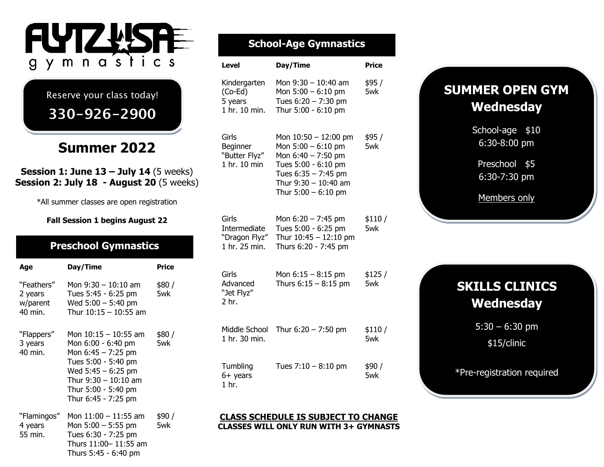

Reserve your class today!

**330-926-2900**

## **Summer 2022**

**Session 1: June 13 – July 14** (5 weeks) **Session 2: July 18 - August 20** (5 weeks)

\*All summer classes are open registration

#### **Fall Session 1 begins August 22**

### **Preschool Gymnastics**

| Age                                          | Day/Time                                                                                                                                                                                  | Price         |
|----------------------------------------------|-------------------------------------------------------------------------------------------------------------------------------------------------------------------------------------------|---------------|
| "Feathers"<br>2 years<br>w/parent<br>40 min. | Mon 9:30 - 10:10 am<br>Tues 5:45 - 6:25 pm<br>Wed $5:00 - 5:40$ pm<br>Thur $10:15 - 10:55$ am                                                                                             | \$80 /<br>5wk |
| "Flappers"<br>3 years<br>40 min.             | Mon 10:15 - 10:55 am<br>Mon 6:00 - 6:40 pm<br>Mon $6:45 - 7:25$ pm<br>Tues 5:00 - 5:40 pm<br>Wed $5:45 - 6:25$ pm<br>Thur $9:30 - 10:10$ am<br>Thur 5:00 - 5:40 pm<br>Thur 6:45 - 7:25 pm | \$80 /<br>5wk |
| "Flamingos"<br>4 years<br>55 min.            | Mon 11:00 - 11:55 am<br>Mon $5:00 - 5:55$ pm<br>Tues 6:30 - 7:25 pm<br>Thurs 11:00-11:55 am                                                                                               | \$90 /<br>5wk |

Thurs 5:45 - 6:40 pm

### **School-Age Gymnastics**

| <b>Level</b>                                            | Day/Time                                                                                                                                                              | <b>Price</b>  |
|---------------------------------------------------------|-----------------------------------------------------------------------------------------------------------------------------------------------------------------------|---------------|
| Kindergarten<br>$(Co-Ed)$<br>5 years<br>1 hr. 10 min.   | Mon 9:30 - 10:40 am<br>Mon 5:00 - 6:10 pm<br>Tues 6:20 - 7:30 pm<br>Thur 5:00 - 6:10 pm                                                                               | \$95 /<br>5wk |
| Girls<br>Beginner<br>"Butter Flyz"<br>1 hr. 10 min      | Mon 10:50 - 12:00 pm<br>Mon 5:00 - 6:10 pm<br>Mon $6:40 - 7:50$ pm<br>Tues 5:00 - 6:10 pm<br>Tues $6:35 - 7:45$ pm<br>Thur $9:30 - 10:40$ am<br>Thur $5:00 - 6:10$ pm | \$95 /<br>5wk |
| Girls<br>Intermediate<br>"Dragon Flyz"<br>1 hr. 25 min. | Mon $6:20 - 7:45$ pm<br>Tues 5:00 - 6:25 pm<br>Thur $10:45 - 12:10$ pm<br>Thurs 6:20 - 7:45 pm                                                                        | \$110/<br>5wk |
| Girls<br>Advanced<br>"Jet Flyz"<br>2 hr.                | Mon $6:15 - 8:15$ pm<br>Thurs $6:15 - 8:15$ pm                                                                                                                        | \$125/<br>5wk |
| Middle School<br>1 hr. 30 min.                          | Thur $6:20 - 7:50$ pm                                                                                                                                                 | \$110/<br>5wk |
| Tumbling<br>6+ years<br>1 hr.                           | Tues $7:10 - 8:10$ pm                                                                                                                                                 | \$90 /<br>5wk |

#### **CLASS SCHEDULE IS SUBJECT TO CHANGE CLASSES WILL ONLY RUN WITH 3+ GYMNASTS**

## **SUMMER OPEN GYM Wednesday**

School-age \$10 6:30-8:00 pm

Preschool \$5 6:30-7:30 pm

Members only

## **SKILLS CLINICS Wednesday**

5:30 – 6:30 pm

\$15/clinic

\*Pre-registration required